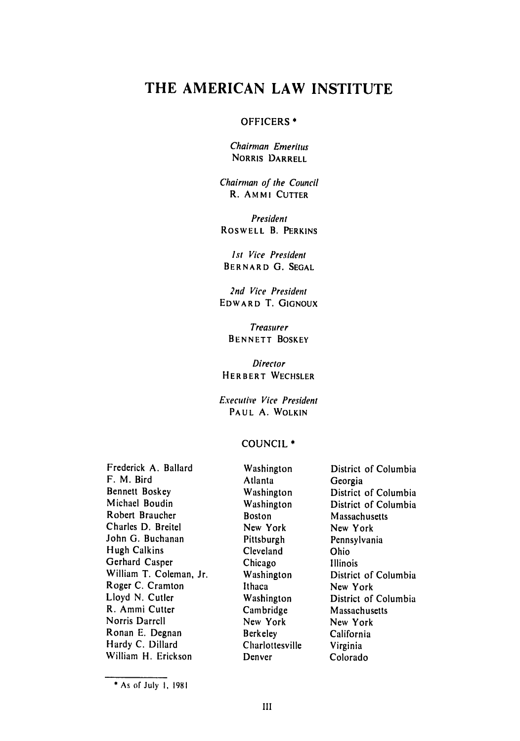# **THE AMERICAN LAW INSTITUTE**

#### OFFICERS **\***

Chairman Emeritus **NORRIS DARRELL**

Chairman of the Council R. AMMI **CUTTER**

President ROSWELL B. PERKINS

*Ist* Vice President BERNARD **G. SEGAL**

2nd Vice President EDWARD T. **GIGNOUX**

Treasurer **BENNETT BOSKEY**

**Director** HERBERT WECHSLER

Executive Vice President PAUL A. WOLKIN

#### COUNCIL \*

Frederick **A.** Ballard F. M. Bird Bennett Boskey Michael Boudin Robert Braucher Charles D. Breitel John G. Buchanan Hugh Calkins Gerhard Casper William T. Coleman, Jr. Roger **C.** Cramton Lloyd **N.** Cutler R. Ammi Cutter Norris Darrell Ronan E. Degnan Hardy C. Dillard William H. Erickson

Washington Atlanta Washington Washington Boston New York Pittsburgh Cleveland Chicago Washington Ithaca Washington Cambridge New York Berkeley Charlottesville Denver

District of Columbia Georgia District of Columbia District of Columbia Massachusetts New York Pennsylvania Ohio Illinois District of Columbia New York District of Columbia Massachusetts New York California Virginia Colorado

**<sup>\*</sup>** As of July **I, <sup>1981</sup>**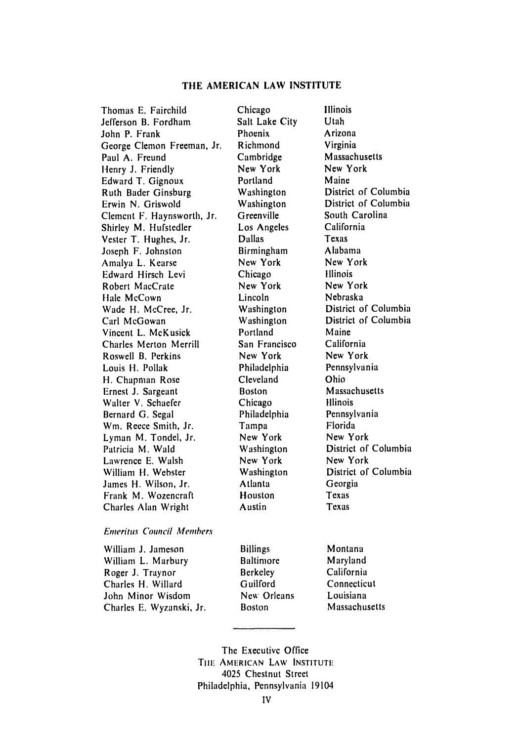#### **THE AMERICAN LAW INSTITUTE**

Thomas E. Fairchild Jefferson B. Fordham John P. Frank George Clemon Freeman, Jr. Paul A. Freund Henry J. Friendly Edward T. Gignoux Ruth Bader Ginsburg Erwin N. Griswold Clement F. Haynsworth, Jr. Shirley M. Hufstedler Vester T. Hughes, Jr. Joseph F. Johnston Amnalya L. Kearse Edward Hirsch Levi Robert MacCrate Hale McCown Wade H. McCree, Jr. Carl McGowan Vincent L. McKusick Charles Merton Merrill Roswell B. Perkins Louis H. Pollak H. Chapman Rose Ernest J. Sargeant Walter V. Schaefer Bernard G. Segal Win. Reece Smith, Jr. Lyman M. Tondel, Jr. Patricia M. Wald Lawrence E. Walsh William H. Webster James H. Wilson, Jr. Frank M. Wozencraft Charles Alan Wright

#### *Emeritus Council* Members

William **J.** Jameson William L. Marbury Roger J. Traynor Charles H. Willard John Minor Wisdom Charles E. Wyzanski, Jr. Chicago Salt Lake City Phoenix Richmond Cambridge New York Portland Washington Washington Greenville Los Angeles Dallas Birmingham New York Chicago New York Lincoln Washington Washington Portland San Francisco New York Philadelphia Cleveland Boston Chicago Philadelphia Tampa New York Washington New York Washington Atlanta Houston Austin

Illinois Utah Arizona Virginia Massachusetts New York Maine District of Columbia District of Columbia South Carolina California Texas Alabama New York Illinois New York Nebraska District of Columbia District of Columbia Maine California New York Pennsylvania Ohio Massachusetts Illinois Pennsylvania Florida New York District of Columbia New York District of Columbia Georgia Texas Texas

Billings Baltimore Berkeley Guilford **New** Orleans Boston

Montana Maryland California Connecticut Louisiana Massachusetts

The Executive Office THE AMERICAN LAW INSTITUTE 4025 Chestnut Street Philadelphia, Pennsylvania 19104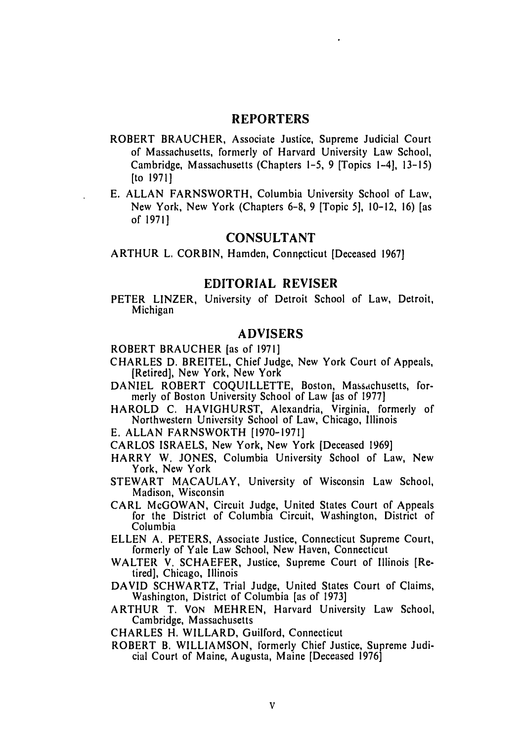### **REPORTERS**

- ROBERT BRAUCHER, Associate Justice, Supreme Judicial Court of Massachusetts, formerly of Harvard University Law School, Cambridge, Massachusetts (Chapters **1-5, 9** [Topics 1-4], **13-15)** [to **1971]**
- E. **ALLAN** FARNSWORTH, Columbia University School of Law, New York, New York (Chapters **6-8, 9** [Topic **5],** 10-12, **16)** [as of **1971]**

### **CONSULTANT**

ARTHUR **L.** CORBIN, Hamden, Connpcticut [Deceased **1967]**

#### **EDITORIAL REVISER**

PETER LINZER, University of Detroit School of Law, Detroit, Michigan

### **ADVISERS**

ROBERT BRAUCHER [as of **1971]**

- CHARLES **D.** BREITEL, Chief Judge, New York Court of Appeals, [Retired], New York, New York
- DANIEL ROBERT COQUILLETTE, Boston, Massachusetts, formerly of Boston University School of Law [as of 1977]
- HAROLD C. HAVIGHURST, Alexandria, Virginia, formerly of Northwestern University School of Law, Chicago, Illinois

E. ALLAN FARNSWORTH [1970-1971]

- CARLOS ISRAELS, New York, New York [Deceased 1969]
- HARRY W. JONES, Columbia University School of Law, New York, New York
- STEWART MACAULAY, University of Wisconsin Law School, Madison, Wisconsin
- CARL McGOWAN, Circuit Judge, United States Court of Appeals for the District of Columbia Circuit, Washington, District of Columbia
- ELLEN A. PETERS, Associate Justice, Connecticut Supreme Court, formerly of Yale Law School, New Haven, Connecticut
- WALTER V. SCHAEFER, Justice, Supreme Court of Illinois [Retired], Chicago, Illinois
- DAVID SCHWARTZ, Trial Judge, United States Court of Claims, Washington, District of Columbia [as of 1973]
- ARTHUR T. VON MEHREN, Harvard University Law School, Cambridge, Massachusetts
- CHARLES H. WILLARD, Guilford, Connecticut
- ROBERT B. WILLIAMSON, formerly Chief Justice, Supreme Judicial Court of Maine, Augusta, Maine [Deceased 1976]